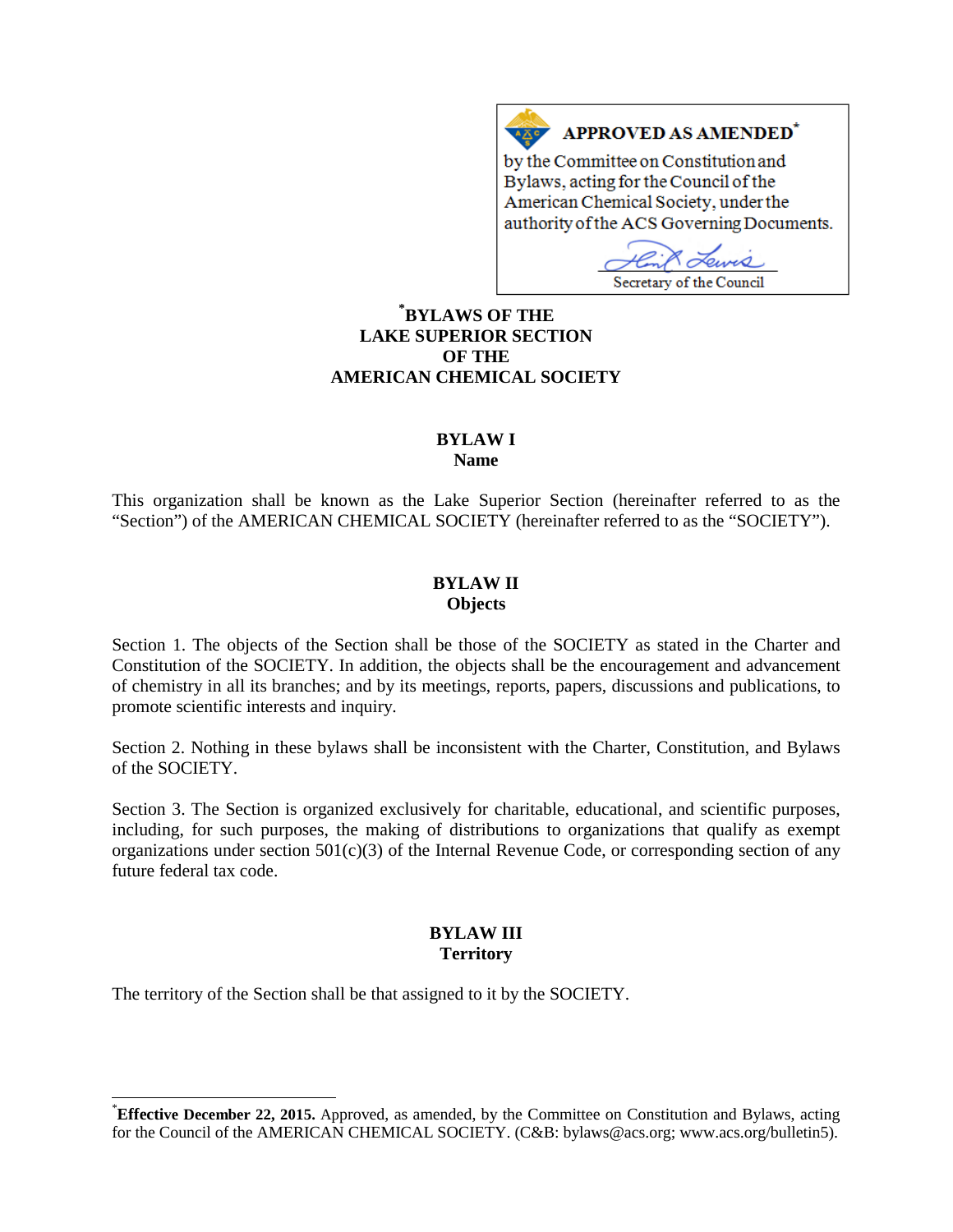# **APPROVED AS AMENDED<sup>\*</sup>**

by the Committee on Constitution and Bylaws, acting for the Council of the American Chemical Society, under the authority of the ACS Governing Documents.

ەر Secretary of the Council

## **[\\*](#page-0-0) BYLAWS OF THE LAKE SUPERIOR SECTION OF THE AMERICAN CHEMICAL SOCIETY**

 $A \overline{\triangle}$ 

#### **BYLAW I Name**

This organization shall be known as the Lake Superior Section (hereinafter referred to as the "Section") of the AMERICAN CHEMICAL SOCIETY (hereinafter referred to as the "SOCIETY").

#### **BYLAW II Objects**

Section 1. The objects of the Section shall be those of the SOCIETY as stated in the Charter and Constitution of the SOCIETY. In addition, the objects shall be the encouragement and advancement of chemistry in all its branches; and by its meetings, reports, papers, discussions and publications, to promote scientific interests and inquiry.

Section 2. Nothing in these bylaws shall be inconsistent with the Charter, Constitution, and Bylaws of the SOCIETY.

Section 3. The Section is organized exclusively for charitable, educational, and scientific purposes, including, for such purposes, the making of distributions to organizations that qualify as exempt organizations under section  $501(c)(3)$  of the Internal Revenue Code, or corresponding section of any future federal tax code.

## **BYLAW III Territory**

The territory of the Section shall be that assigned to it by the SOCIETY.

<span id="page-0-0"></span><sup>\*</sup>**Effective December 22, 2015.** Approved, as amended, by the Committee on Constitution and Bylaws, acting for the Council of the AMERICAN CHEMICAL SOCIETY. (C&B: bylaws@acs.org; www.acs.org/bulletin5).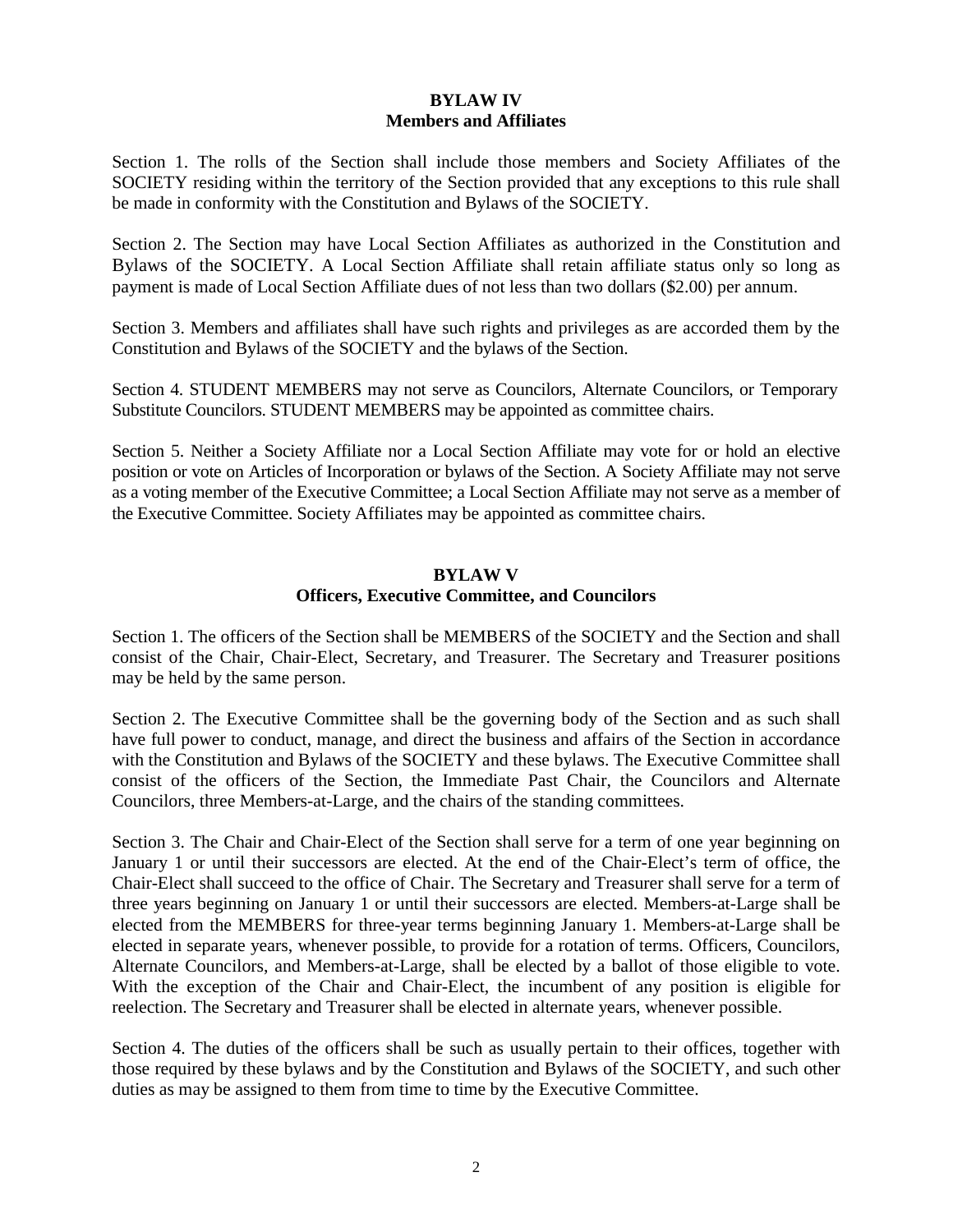## **BYLAW IV Members and Affiliates**

Section 1. The rolls of the Section shall include those members and Society Affiliates of the SOCIETY residing within the territory of the Section provided that any exceptions to this rule shall be made in conformity with the Constitution and Bylaws of the SOCIETY.

Section 2. The Section may have Local Section Affiliates as authorized in the Constitution and Bylaws of the SOCIETY. A Local Section Affiliate shall retain affiliate status only so long as payment is made of Local Section Affiliate dues of not less than two dollars (\$2.00) per annum.

Section 3. Members and affiliates shall have such rights and privileges as are accorded them by the Constitution and Bylaws of the SOCIETY and the bylaws of the Section.

Section 4. STUDENT MEMBERS may not serve as Councilors, Alternate Councilors, or Temporary Substitute Councilors. STUDENT MEMBERS may be appointed as committee chairs.

Section 5. Neither a Society Affiliate nor a Local Section Affiliate may vote for or hold an elective position or vote on Articles of Incorporation or bylaws of the Section. A Society Affiliate may not serve as a voting member of the Executive Committee; a Local Section Affiliate may not serve as a member of the Executive Committee. Society Affiliates may be appointed as committee chairs.

#### **BYLAW V Officers, Executive Committee, and Councilors**

Section 1. The officers of the Section shall be MEMBERS of the SOCIETY and the Section and shall consist of the Chair, Chair-Elect, Secretary, and Treasurer. The Secretary and Treasurer positions may be held by the same person.

Section 2. The Executive Committee shall be the governing body of the Section and as such shall have full power to conduct, manage, and direct the business and affairs of the Section in accordance with the Constitution and Bylaws of the SOCIETY and these bylaws. The Executive Committee shall consist of the officers of the Section, the Immediate Past Chair, the Councilors and Alternate Councilors, three Members-at-Large, and the chairs of the standing committees.

Section 3. The Chair and Chair-Elect of the Section shall serve for a term of one year beginning on January 1 or until their successors are elected. At the end of the Chair-Elect's term of office, the Chair-Elect shall succeed to the office of Chair. The Secretary and Treasurer shall serve for a term of three years beginning on January 1 or until their successors are elected. Members-at-Large shall be elected from the MEMBERS for three-year terms beginning January 1. Members-at-Large shall be elected in separate years, whenever possible, to provide for a rotation of terms. Officers, Councilors, Alternate Councilors, and Members-at-Large, shall be elected by a ballot of those eligible to vote. With the exception of the Chair and Chair-Elect, the incumbent of any position is eligible for reelection. The Secretary and Treasurer shall be elected in alternate years, whenever possible.

Section 4. The duties of the officers shall be such as usually pertain to their offices, together with those required by these bylaws and by the Constitution and Bylaws of the SOCIETY, and such other duties as may be assigned to them from time to time by the Executive Committee.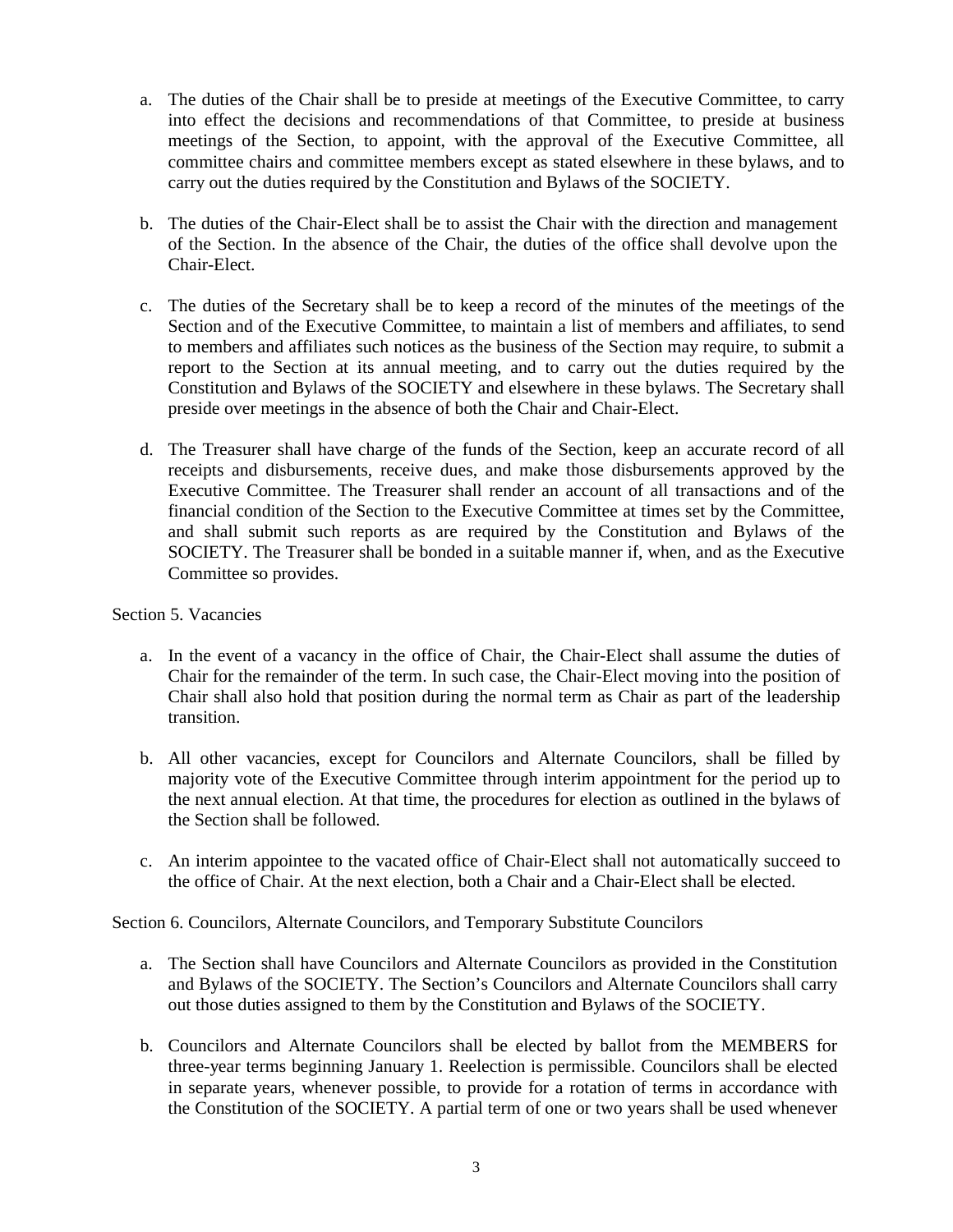- a. The duties of the Chair shall be to preside at meetings of the Executive Committee, to carry into effect the decisions and recommendations of that Committee, to preside at business meetings of the Section, to appoint, with the approval of the Executive Committee, all committee chairs and committee members except as stated elsewhere in these bylaws, and to carry out the duties required by the Constitution and Bylaws of the SOCIETY.
- b. The duties of the Chair-Elect shall be to assist the Chair with the direction and management of the Section. In the absence of the Chair, the duties of the office shall devolve upon the Chair-Elect.
- c. The duties of the Secretary shall be to keep a record of the minutes of the meetings of the Section and of the Executive Committee, to maintain a list of members and affiliates, to send to members and affiliates such notices as the business of the Section may require, to submit a report to the Section at its annual meeting, and to carry out the duties required by the Constitution and Bylaws of the SOCIETY and elsewhere in these bylaws. The Secretary shall preside over meetings in the absence of both the Chair and Chair-Elect.
- d. The Treasurer shall have charge of the funds of the Section, keep an accurate record of all receipts and disbursements, receive dues, and make those disbursements approved by the Executive Committee. The Treasurer shall render an account of all transactions and of the financial condition of the Section to the Executive Committee at times set by the Committee, and shall submit such reports as are required by the Constitution and Bylaws of the SOCIETY. The Treasurer shall be bonded in a suitable manner if, when, and as the Executive Committee so provides.

#### Section 5. Vacancies

- a. In the event of a vacancy in the office of Chair, the Chair-Elect shall assume the duties of Chair for the remainder of the term. In such case, the Chair-Elect moving into the position of Chair shall also hold that position during the normal term as Chair as part of the leadership transition.
- b. All other vacancies, except for Councilors and Alternate Councilors, shall be filled by majority vote of the Executive Committee through interim appointment for the period up to the next annual election. At that time, the procedures for election as outlined in the bylaws of the Section shall be followed.
- c. An interim appointee to the vacated office of Chair-Elect shall not automatically succeed to the office of Chair. At the next election, both a Chair and a Chair-Elect shall be elected.

Section 6. Councilors, Alternate Councilors, and Temporary Substitute Councilors

- a. The Section shall have Councilors and Alternate Councilors as provided in the Constitution and Bylaws of the SOCIETY. The Section's Councilors and Alternate Councilors shall carry out those duties assigned to them by the Constitution and Bylaws of the SOCIETY.
- b. Councilors and Alternate Councilors shall be elected by ballot from the MEMBERS for three-year terms beginning January 1. Reelection is permissible. Councilors shall be elected in separate years, whenever possible, to provide for a rotation of terms in accordance with the Constitution of the SOCIETY. A partial term of one or two years shall be used whenever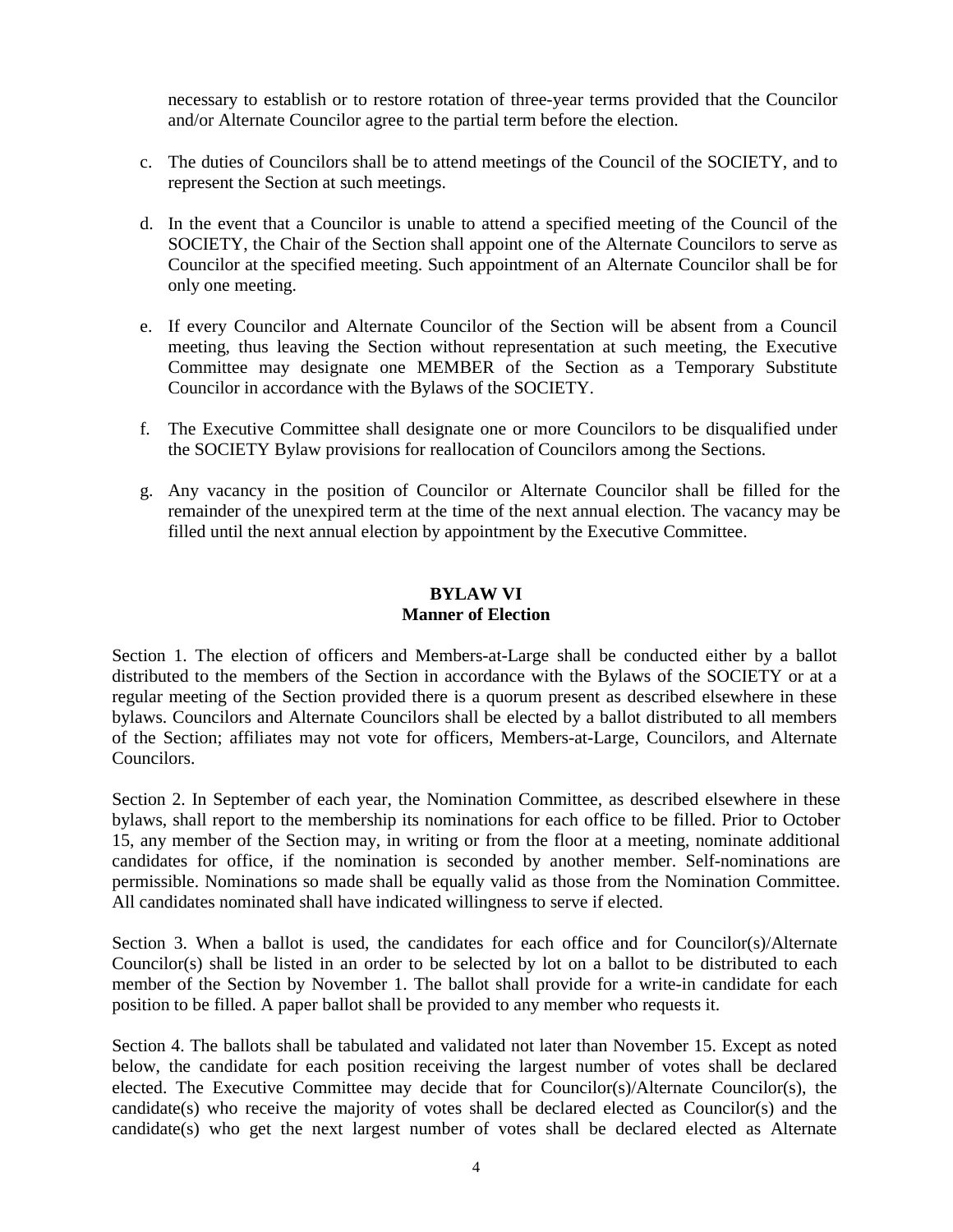necessary to establish or to restore rotation of three-year terms provided that the Councilor and/or Alternate Councilor agree to the partial term before the election.

- c. The duties of Councilors shall be to attend meetings of the Council of the SOCIETY, and to represent the Section at such meetings.
- d. In the event that a Councilor is unable to attend a specified meeting of the Council of the SOCIETY, the Chair of the Section shall appoint one of the Alternate Councilors to serve as Councilor at the specified meeting. Such appointment of an Alternate Councilor shall be for only one meeting.
- e. If every Councilor and Alternate Councilor of the Section will be absent from a Council meeting, thus leaving the Section without representation at such meeting, the Executive Committee may designate one MEMBER of the Section as a Temporary Substitute Councilor in accordance with the Bylaws of the SOCIETY.
- f. The Executive Committee shall designate one or more Councilors to be disqualified under the SOCIETY Bylaw provisions for reallocation of Councilors among the Sections.
- g. Any vacancy in the position of Councilor or Alternate Councilor shall be filled for the remainder of the unexpired term at the time of the next annual election. The vacancy may be filled until the next annual election by appointment by the Executive Committee.

## **BYLAW VI Manner of Election**

Section 1. The election of officers and Members-at-Large shall be conducted either by a ballot distributed to the members of the Section in accordance with the Bylaws of the SOCIETY or at a regular meeting of the Section provided there is a quorum present as described elsewhere in these bylaws. Councilors and Alternate Councilors shall be elected by a ballot distributed to all members of the Section; affiliates may not vote for officers, Members-at-Large, Councilors, and Alternate Councilors.

Section 2. In September of each year, the Nomination Committee, as described elsewhere in these bylaws, shall report to the membership its nominations for each office to be filled. Prior to October 15, any member of the Section may, in writing or from the floor at a meeting, nominate additional candidates for office, if the nomination is seconded by another member. Self-nominations are permissible. Nominations so made shall be equally valid as those from the Nomination Committee. All candidates nominated shall have indicated willingness to serve if elected.

Section 3. When a ballot is used, the candidates for each office and for Councilor(s)/Alternate Councilor(s) shall be listed in an order to be selected by lot on a ballot to be distributed to each member of the Section by November 1. The ballot shall provide for a write-in candidate for each position to be filled. A paper ballot shall be provided to any member who requests it.

Section 4. The ballots shall be tabulated and validated not later than November 15. Except as noted below, the candidate for each position receiving the largest number of votes shall be declared elected. The Executive Committee may decide that for Councilor(s)/Alternate Councilor(s), the candidate(s) who receive the majority of votes shall be declared elected as Councilor(s) and the candidate(s) who get the next largest number of votes shall be declared elected as Alternate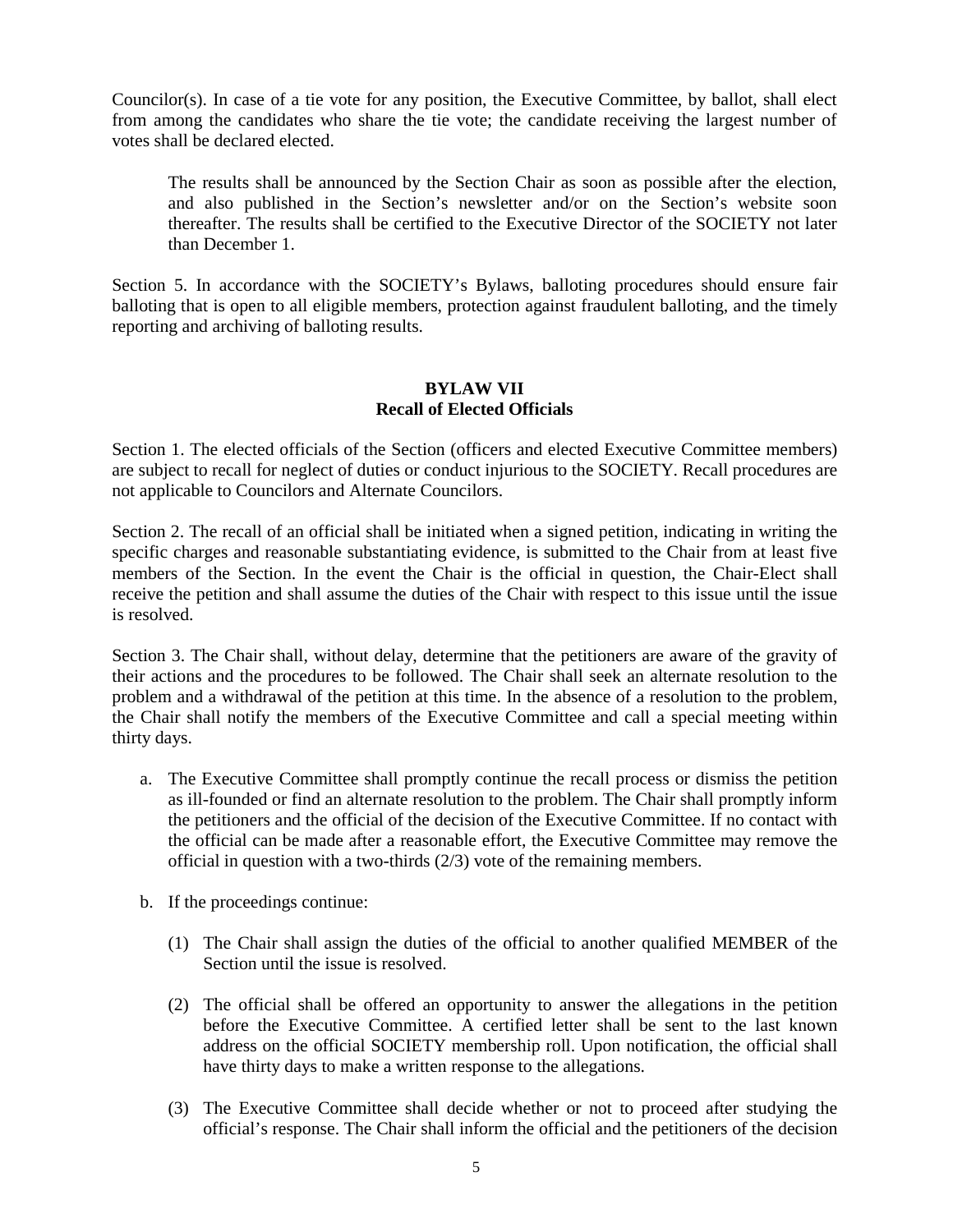Councilor(s). In case of a tie vote for any position, the Executive Committee, by ballot, shall elect from among the candidates who share the tie vote; the candidate receiving the largest number of votes shall be declared elected.

The results shall be announced by the Section Chair as soon as possible after the election, and also published in the Section's newsletter and/or on the Section's website soon thereafter. The results shall be certified to the Executive Director of the SOCIETY not later than December 1.

Section 5. In accordance with the SOCIETY's Bylaws, balloting procedures should ensure fair balloting that is open to all eligible members, protection against fraudulent balloting, and the timely reporting and archiving of balloting results.

## **BYLAW VII Recall of Elected Officials**

Section 1. The elected officials of the Section (officers and elected Executive Committee members) are subject to recall for neglect of duties or conduct injurious to the SOCIETY. Recall procedures are not applicable to Councilors and Alternate Councilors.

Section 2. The recall of an official shall be initiated when a signed petition, indicating in writing the specific charges and reasonable substantiating evidence, is submitted to the Chair from at least five members of the Section. In the event the Chair is the official in question, the Chair-Elect shall receive the petition and shall assume the duties of the Chair with respect to this issue until the issue is resolved.

Section 3. The Chair shall, without delay, determine that the petitioners are aware of the gravity of their actions and the procedures to be followed. The Chair shall seek an alternate resolution to the problem and a withdrawal of the petition at this time. In the absence of a resolution to the problem, the Chair shall notify the members of the Executive Committee and call a special meeting within thirty days.

- a. The Executive Committee shall promptly continue the recall process or dismiss the petition as ill-founded or find an alternate resolution to the problem. The Chair shall promptly inform the petitioners and the official of the decision of the Executive Committee. If no contact with the official can be made after a reasonable effort, the Executive Committee may remove the official in question with a two-thirds (2/3) vote of the remaining members.
- b. If the proceedings continue:
	- (1) The Chair shall assign the duties of the official to another qualified MEMBER of the Section until the issue is resolved.
	- (2) The official shall be offered an opportunity to answer the allegations in the petition before the Executive Committee. A certified letter shall be sent to the last known address on the official SOCIETY membership roll. Upon notification, the official shall have thirty days to make a written response to the allegations.
	- (3) The Executive Committee shall decide whether or not to proceed after studying the official's response. The Chair shall inform the official and the petitioners of the decision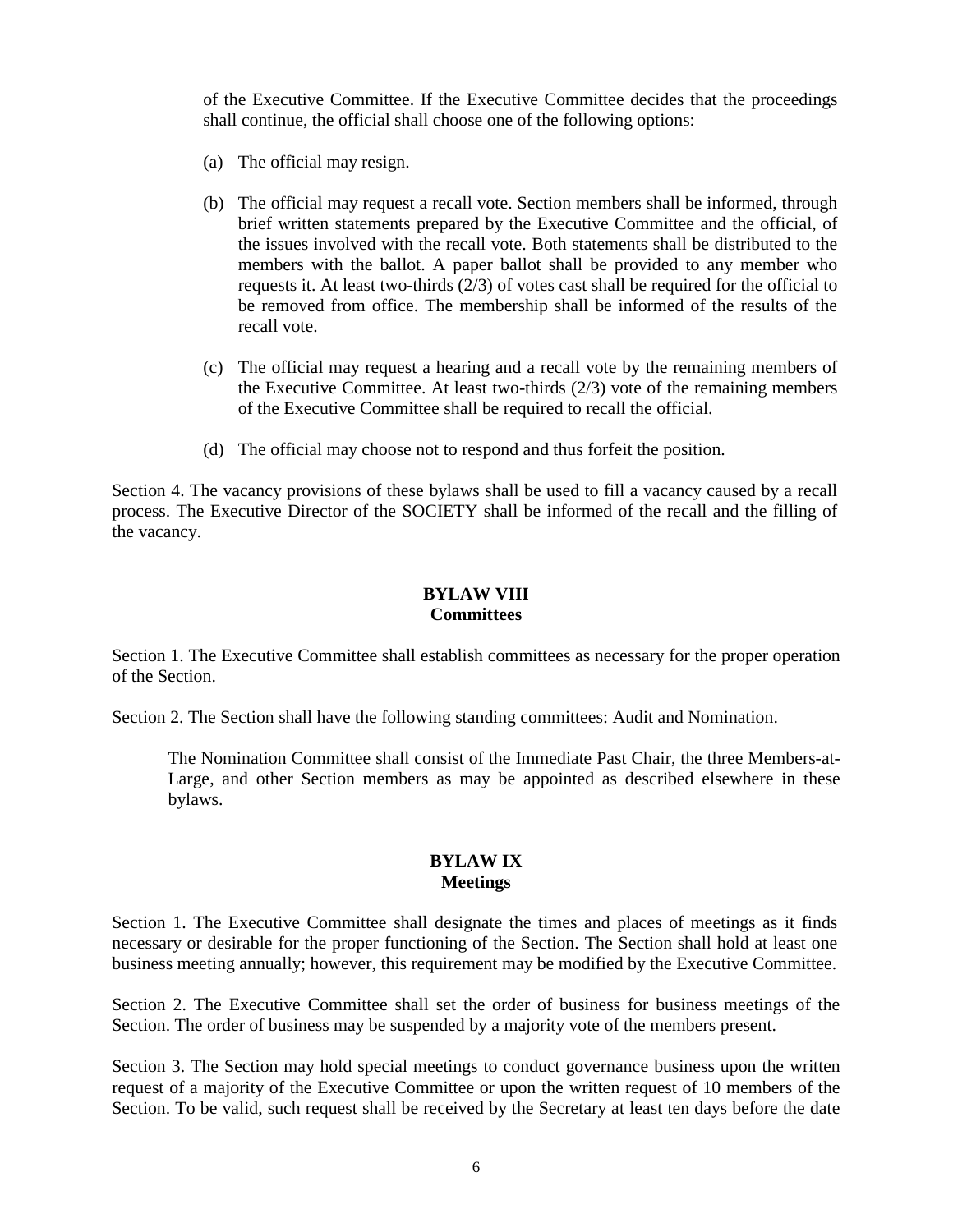of the Executive Committee. If the Executive Committee decides that the proceedings shall continue, the official shall choose one of the following options:

- (a) The official may resign.
- (b) The official may request a recall vote. Section members shall be informed, through brief written statements prepared by the Executive Committee and the official, of the issues involved with the recall vote. Both statements shall be distributed to the members with the ballot. A paper ballot shall be provided to any member who requests it. At least two-thirds (2/3) of votes cast shall be required for the official to be removed from office. The membership shall be informed of the results of the recall vote.
- (c) The official may request a hearing and a recall vote by the remaining members of the Executive Committee. At least two-thirds (2/3) vote of the remaining members of the Executive Committee shall be required to recall the official.
- (d) The official may choose not to respond and thus forfeit the position.

Section 4. The vacancy provisions of these bylaws shall be used to fill a vacancy caused by a recall process. The Executive Director of the SOCIETY shall be informed of the recall and the filling of the vacancy.

## **BYLAW VIII Committees**

Section 1. The Executive Committee shall establish committees as necessary for the proper operation of the Section.

Section 2. The Section shall have the following standing committees: Audit and Nomination.

The Nomination Committee shall consist of the Immediate Past Chair, the three Members-at-Large, and other Section members as may be appointed as described elsewhere in these bylaws.

#### **BYLAW IX Meetings**

Section 1. The Executive Committee shall designate the times and places of meetings as it finds necessary or desirable for the proper functioning of the Section. The Section shall hold at least one business meeting annually; however, this requirement may be modified by the Executive Committee.

Section 2. The Executive Committee shall set the order of business for business meetings of the Section. The order of business may be suspended by a majority vote of the members present.

Section 3. The Section may hold special meetings to conduct governance business upon the written request of a majority of the Executive Committee or upon the written request of 10 members of the Section. To be valid, such request shall be received by the Secretary at least ten days before the date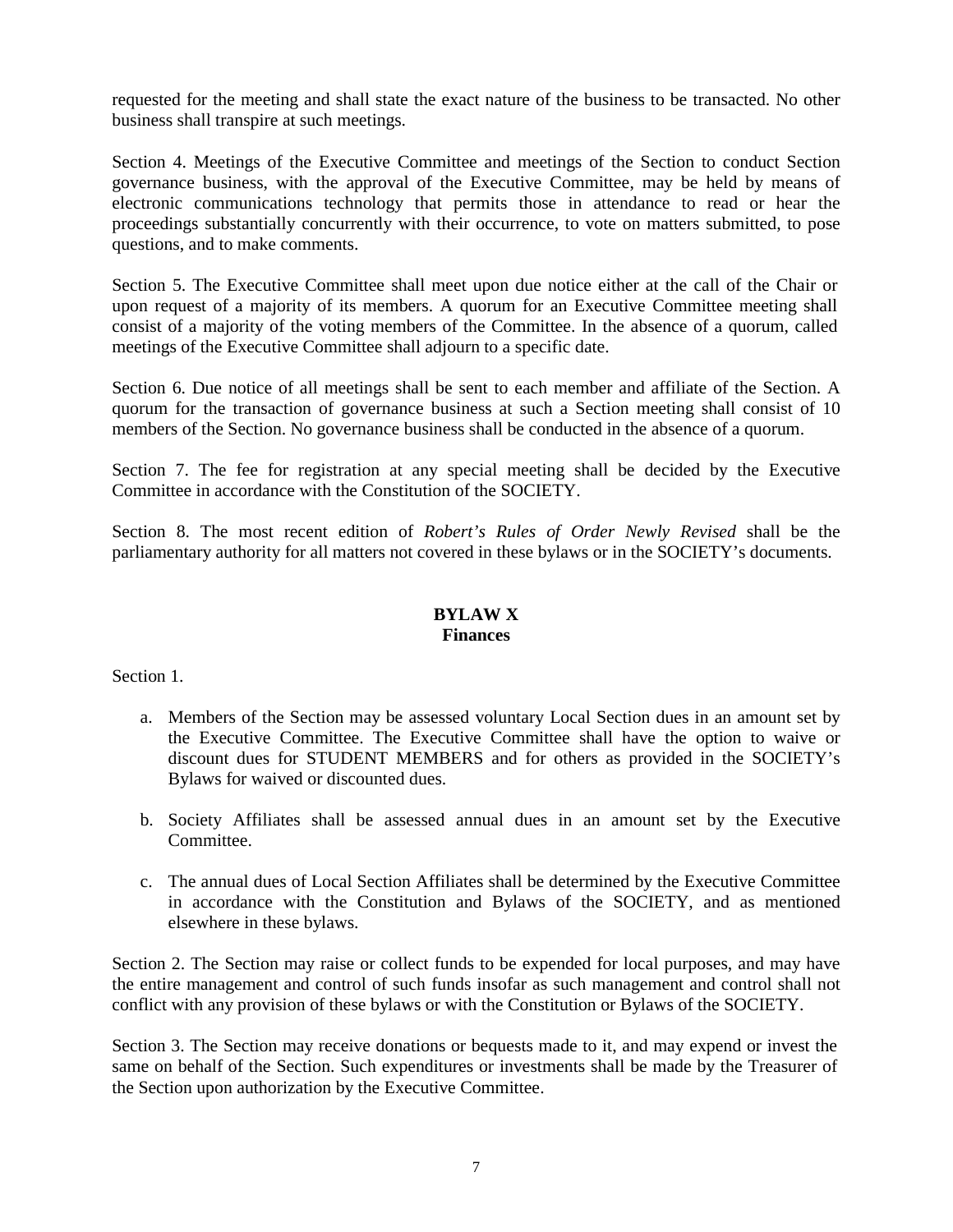requested for the meeting and shall state the exact nature of the business to be transacted. No other business shall transpire at such meetings.

Section 4. Meetings of the Executive Committee and meetings of the Section to conduct Section governance business, with the approval of the Executive Committee, may be held by means of electronic communications technology that permits those in attendance to read or hear the proceedings substantially concurrently with their occurrence, to vote on matters submitted, to pose questions, and to make comments.

Section 5. The Executive Committee shall meet upon due notice either at the call of the Chair or upon request of a majority of its members. A quorum for an Executive Committee meeting shall consist of a majority of the voting members of the Committee. In the absence of a quorum, called meetings of the Executive Committee shall adjourn to a specific date.

Section 6. Due notice of all meetings shall be sent to each member and affiliate of the Section. A quorum for the transaction of governance business at such a Section meeting shall consist of 10 members of the Section. No governance business shall be conducted in the absence of a quorum.

Section 7. The fee for registration at any special meeting shall be decided by the Executive Committee in accordance with the Constitution of the SOCIETY.

Section 8. The most recent edition of *Robert's Rules of Order Newly Revised* shall be the parliamentary authority for all matters not covered in these bylaws or in the SOCIETY's documents.

#### **BYLAW X Finances**

Section 1.

- a. Members of the Section may be assessed voluntary Local Section dues in an amount set by the Executive Committee. The Executive Committee shall have the option to waive or discount dues for STUDENT MEMBERS and for others as provided in the SOCIETY's Bylaws for waived or discounted dues.
- b. Society Affiliates shall be assessed annual dues in an amount set by the Executive **Committee**
- c. The annual dues of Local Section Affiliates shall be determined by the Executive Committee in accordance with the Constitution and Bylaws of the SOCIETY, and as mentioned elsewhere in these bylaws.

Section 2. The Section may raise or collect funds to be expended for local purposes, and may have the entire management and control of such funds insofar as such management and control shall not conflict with any provision of these bylaws or with the Constitution or Bylaws of the SOCIETY.

Section 3. The Section may receive donations or bequests made to it, and may expend or invest the same on behalf of the Section. Such expenditures or investments shall be made by the Treasurer of the Section upon authorization by the Executive Committee.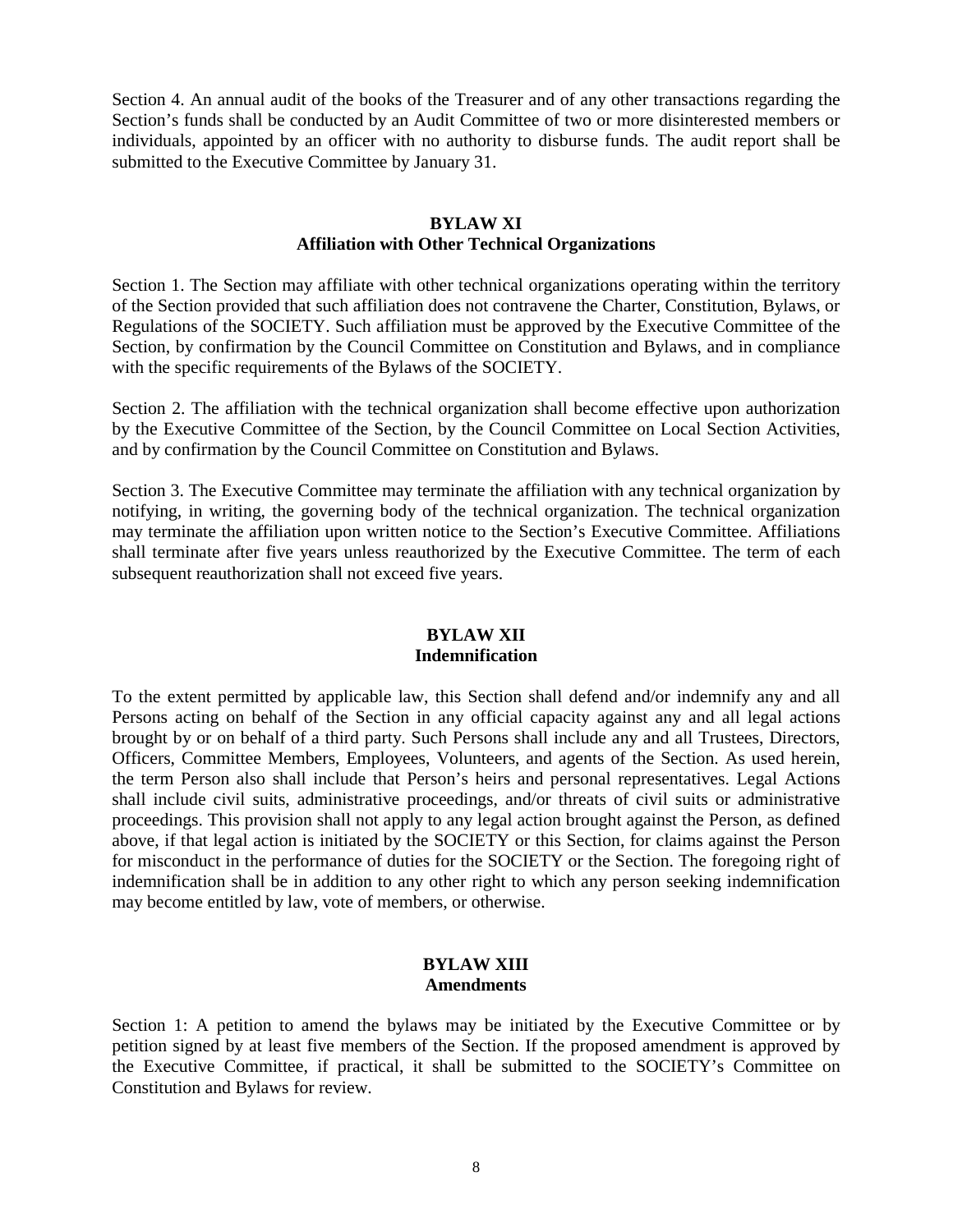Section 4. An annual audit of the books of the Treasurer and of any other transactions regarding the Section's funds shall be conducted by an Audit Committee of two or more disinterested members or individuals, appointed by an officer with no authority to disburse funds. The audit report shall be submitted to the Executive Committee by January 31.

#### **BYLAW XI Affiliation with Other Technical Organizations**

Section 1. The Section may affiliate with other technical organizations operating within the territory of the Section provided that such affiliation does not contravene the Charter, Constitution, Bylaws, or Regulations of the SOCIETY. Such affiliation must be approved by the Executive Committee of the Section, by confirmation by the Council Committee on Constitution and Bylaws, and in compliance with the specific requirements of the Bylaws of the SOCIETY.

Section 2. The affiliation with the technical organization shall become effective upon authorization by the Executive Committee of the Section, by the Council Committee on Local Section Activities, and by confirmation by the Council Committee on Constitution and Bylaws.

Section 3. The Executive Committee may terminate the affiliation with any technical organization by notifying, in writing, the governing body of the technical organization. The technical organization may terminate the affiliation upon written notice to the Section's Executive Committee. Affiliations shall terminate after five years unless reauthorized by the Executive Committee. The term of each subsequent reauthorization shall not exceed five years.

## **BYLAW XII Indemnification**

To the extent permitted by applicable law, this Section shall defend and/or indemnify any and all Persons acting on behalf of the Section in any official capacity against any and all legal actions brought by or on behalf of a third party. Such Persons shall include any and all Trustees, Directors, Officers, Committee Members, Employees, Volunteers, and agents of the Section. As used herein, the term Person also shall include that Person's heirs and personal representatives. Legal Actions shall include civil suits, administrative proceedings, and/or threats of civil suits or administrative proceedings. This provision shall not apply to any legal action brought against the Person, as defined above, if that legal action is initiated by the SOCIETY or this Section, for claims against the Person for misconduct in the performance of duties for the SOCIETY or the Section. The foregoing right of indemnification shall be in addition to any other right to which any person seeking indemnification may become entitled by law, vote of members, or otherwise.

#### **BYLAW XIII Amendments**

Section 1: A petition to amend the bylaws may be initiated by the Executive Committee or by petition signed by at least five members of the Section. If the proposed amendment is approved by the Executive Committee, if practical, it shall be submitted to the SOCIETY's Committee on Constitution and Bylaws for review.